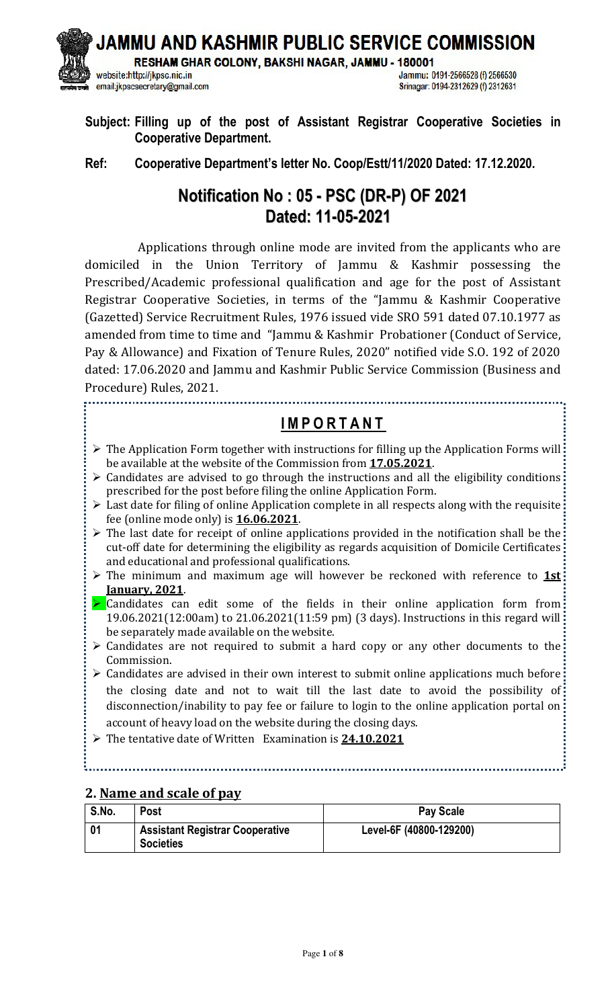JAMMU AND KASHMIR PUBLIC SERVICE COMMISSION

RESHAM GHAR COLONY, BAKSHI NAGAR, JAMMU - 180001

website:http://jkpsc.nic.in email:jkpscsecretary@gmail.com

Jammu: 0191-2566528 (f) 2566530 Srinagar: 0194-2312629 (f) 2312631

**Subject: Filling up of the post of Assistant Registrar Cooperative Societies in Cooperative Department.** 

**Ref: Cooperative Department's letter No. Coop/Estt/11/2020 Dated: 17.12.2020.** 

# **Notification No : 05 - PSC (DR-P) OF 2021 Dated: 11-05-2021**

 Applications through online mode are invited from the applicants who are domiciled in the Union Territory of Jammu & Kashmir possessing the Prescribed/Academic professional qualification and age for the post of Assistant Registrar Cooperative Societies, in terms of the "Jammu & Kashmir Cooperative (Gazetted) Service Recruitment Rules, 1976 issued vide SRO 591 dated 07.10.1977 as amended from time to time and "Jammu & Kashmir Probationer (Conduct of Service, Pay & Allowance) and Fixation of Tenure Rules, 2020" notified vide S.O. 192 of 2020 dated: 17.06.2020 and Jammu and Kashmir Public Service Commission (Business and Procedure) Rules, 2021.

# **I M P O R T A N T**

- $\triangleright$  The Application Form together with instructions for filling up the Application Forms will: be available at the website of the Commission from **17.05.2021**.
- $\triangleright$  Candidates are advised to go through the instructions and all the eligibility conditions prescribed for the post before filing the online Application Form.
- Last date for filing of online Application complete in all respects along with the requisite fee (online mode only) is **16.06.2021**.
- $\triangleright$  The last date for receipt of online applications provided in the notification shall be the cut-off date for determining the eligibility as regards acquisition of Domicile Certificates and educational and professional qualifications.
- The minimum and maximum age will however be reckoned with reference to **1st January, 2021**.
- $\triangleright$  Candidates can edit some of the fields in their online application form from 19.06.2021(12:00am) to 21.06.2021(11:59 pm) (3 days). Instructions in this regard will be separately made available on the website.
- > Candidates are not required to submit a hard copy or any other documents to the Commission.
- Candidates are advised in their own interest to submit online applications much before the closing date and not to wait till the last date to avoid the possibility of disconnection/inability to pay fee or failure to login to the online application portal on account of heavy load on the website during the closing days.
- The tentative date of Written Examination is **24.10.2021**

#### 

#### **2. Name and scale of pay**

| S.No. | <b>Post</b>                                                | <b>Pay Scale</b>        |
|-------|------------------------------------------------------------|-------------------------|
|       | <b>Assistant Registrar Cooperative</b><br><b>Societies</b> | Level-6F (40800-129200) |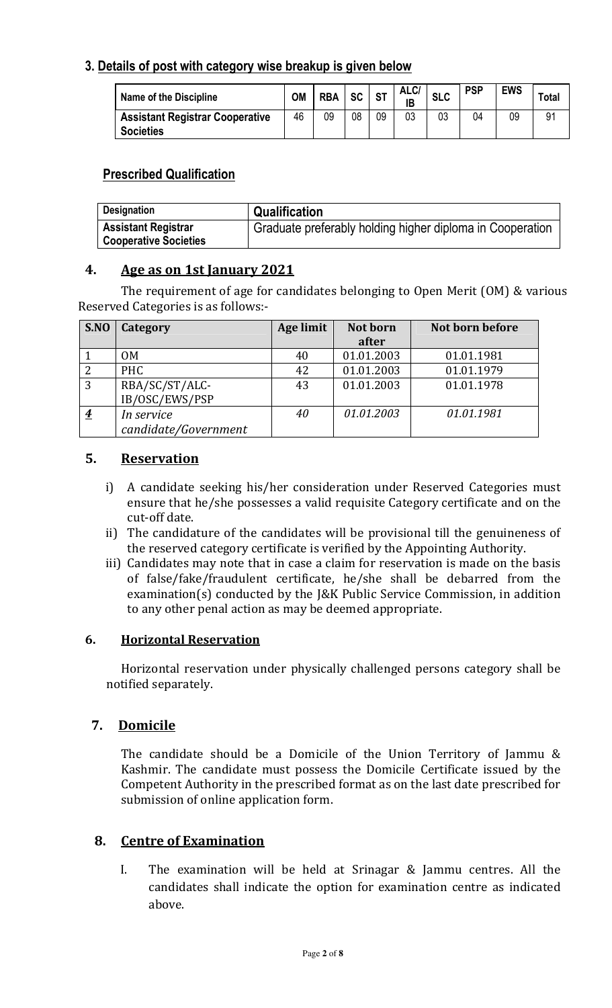# **3. Details of post with category wise breakup is given below**

| <b>Name of the Discipline</b>                              | ΟM | <b>RBA</b> | SC <sub>1</sub> | <b>ST</b> | ALC/<br><b>IB</b> | <b>SLC</b> | <b>PSP</b> | <b>EWS</b> | <b>Total</b> |
|------------------------------------------------------------|----|------------|-----------------|-----------|-------------------|------------|------------|------------|--------------|
| <b>Assistant Registrar Cooperative</b><br><b>Societies</b> | 46 | 09         | 08              | 09        | 03                | 03         | 04         | 09         | 91           |

# **Prescribed Qualification**

| <b>Designation</b>                                         | Qualification                                             |
|------------------------------------------------------------|-----------------------------------------------------------|
| <b>Assistant Registrar</b><br><b>Cooperative Societies</b> | Graduate preferably holding higher diploma in Cooperation |

### **4. Age as on 1st January 2021**

 The requirement of age for candidates belonging to Open Merit (OM) & various Reserved Categories is as follows:-

| S.NO           | Category             | Age limit | Not born   | Not born before |
|----------------|----------------------|-----------|------------|-----------------|
|                |                      |           | after      |                 |
|                | 0M                   | 40        | 01.01.2003 | 01.01.1981      |
| $\overline{2}$ | <b>PHC</b>           | 42        | 01.01.2003 | 01.01.1979      |
| 3              | RBA/SC/ST/ALC-       | 43        | 01.01.2003 | 01.01.1978      |
|                | IB/OSC/EWS/PSP       |           |            |                 |
| $\overline{4}$ | In service           | 40        | 01.01.2003 | 01.01.1981      |
|                | candidate/Government |           |            |                 |

### **5. Reservation**

- i) A candidate seeking his/her consideration under Reserved Categories must ensure that he/she possesses a valid requisite Category certificate and on the cut-off date.
- ii) The candidature of the candidates will be provisional till the genuineness of the reserved category certificate is verified by the Appointing Authority.
- iii) Candidates may note that in case a claim for reservation is made on the basis of false/fake/fraudulent certificate, he/she shall be debarred from the examination(s) conducted by the J&K Public Service Commission, in addition to any other penal action as may be deemed appropriate.

### **6. Horizontal Reservation**

Horizontal reservation under physically challenged persons category shall be notified separately.

# **7. Domicile**

The candidate should be a Domicile of the Union Territory of Jammu & Kashmir. The candidate must possess the Domicile Certificate issued by the Competent Authority in the prescribed format as on the last date prescribed for submission of online application form.

### **8. Centre of Examination**

I. The examination will be held at Srinagar & Jammu centres. All the candidates shall indicate the option for examination centre as indicated above.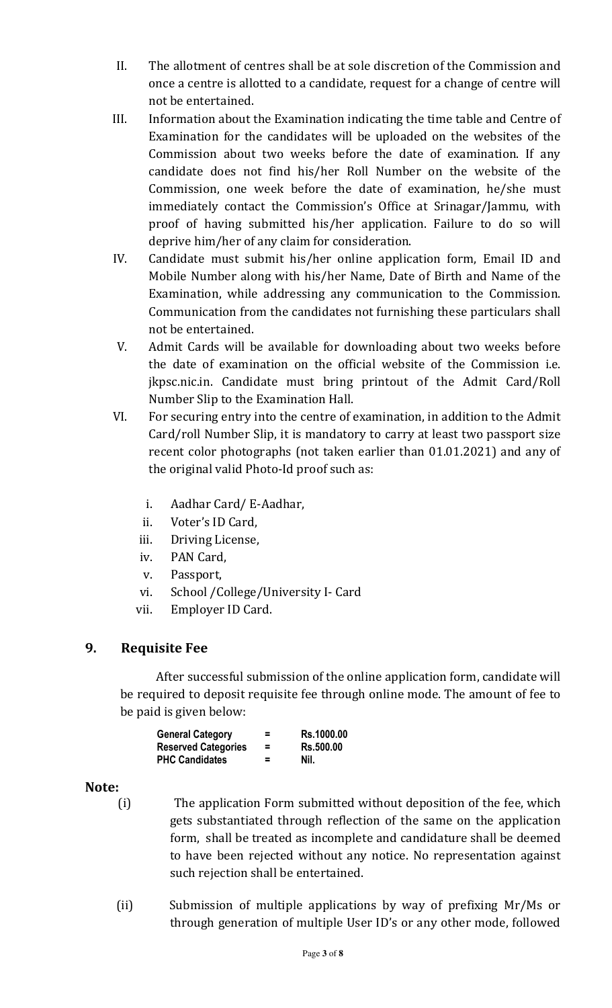- II. The allotment of centres shall be at sole discretion of the Commission and once a centre is allotted to a candidate, request for a change of centre will not be entertained.
- III. Information about the Examination indicating the time table and Centre of Examination for the candidates will be uploaded on the websites of the Commission about two weeks before the date of examination. If any candidate does not find his/her Roll Number on the website of the Commission, one week before the date of examination, he/she must immediately contact the Commission's Office at Srinagar/Jammu, with proof of having submitted his/her application. Failure to do so will deprive him/her of any claim for consideration.
- IV. Candidate must submit his/her online application form, Email ID and Mobile Number along with his/her Name, Date of Birth and Name of the Examination, while addressing any communication to the Commission. Communication from the candidates not furnishing these particulars shall not be entertained.
- V. Admit Cards will be available for downloading about two weeks before the date of examination on the official website of the Commission i.e. jkpsc.nic.in. Candidate must bring printout of the Admit Card/Roll Number Slip to the Examination Hall.
- VI. For securing entry into the centre of examination, in addition to the Admit Card/roll Number Slip, it is mandatory to carry at least two passport size recent color photographs (not taken earlier than 01.01.2021) and any of the original valid Photo-Id proof such as:
	- i. Aadhar Card/ E-Aadhar,
	- ii. Voter's ID Card,
	- iii. Driving License,
	- iv. PAN Card,
	- v. Passport,
	- vi. School /College/University I- Card
	- vii. Employer ID Card.

# **9. Requisite Fee**

After successful submission of the online application form, candidate will be required to deposit requisite fee through online mode. The amount of fee to be paid is given below:

| <b>General Category</b>    | $\equiv$ | <b>Rs.1000.00</b> |
|----------------------------|----------|-------------------|
| <b>Reserved Categories</b> | $=$      | <b>Rs.500.00</b>  |
| <b>PHC Candidates</b>      | $\equiv$ | Nil.              |

### **Note:**

- (i) The application Form submitted without deposition of the fee, which gets substantiated through reflection of the same on the application form, shall be treated as incomplete and candidature shall be deemed to have been rejected without any notice. No representation against such rejection shall be entertained.
- (ii) Submission of multiple applications by way of prefixing Mr/Ms or through generation of multiple User ID's or any other mode, followed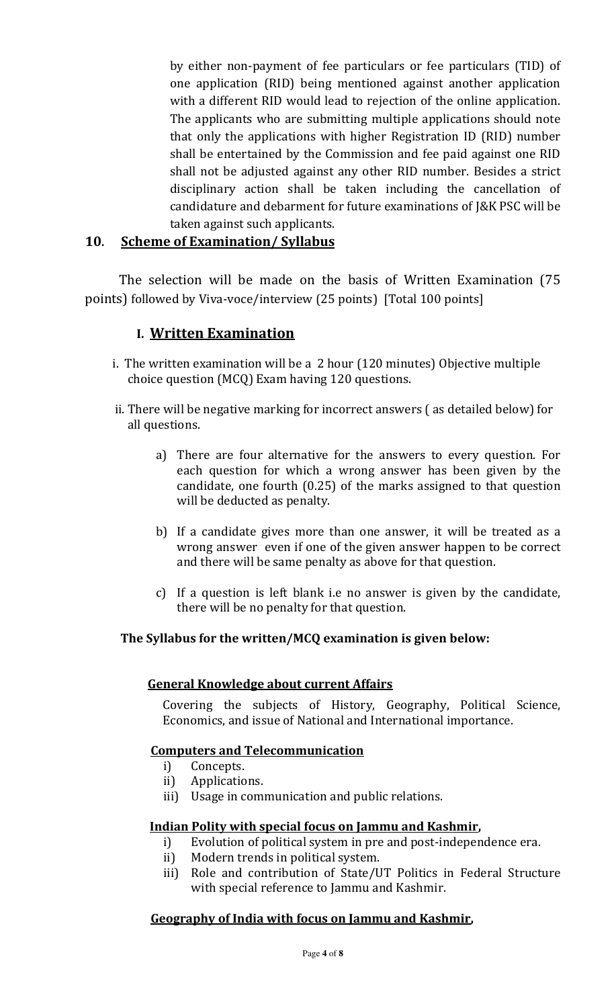by either non-payment of fee particulars or fee particulars (TID) of one application (RID) being mentioned against another application with a different RID would lead to rejection of the online application. The applicants who are submitting multiple applications should note that only the applications with higher Registration ID (RID) number shall be entertained by the Commission and fee paid against one RID shall not be adjusted against any other RID number. Besides a strict disciplinary action shall be taken including the cancellation of candidature and debarment for future examinations of J&K PSC will be taken against such applicants.

# **10. Scheme of Examination/ Syllabus**

 The selection will be made on the basis of Written Examination (75 points) followed by Viva-voce/interview (25 points) [Total 100 points]

# **I. Written Examination**

- i. The written examination will be a 2 hour (120 minutes) Objective multiple choice question (MCQ) Exam having 120 questions.
- ii. There will be negative marking for incorrect answers ( as detailed below) for all questions.
	- a) There are four alternative for the answers to every question. For each question for which a wrong answer has been given by the candidate, one fourth (0.25) of the marks assigned to that question will be deducted as penalty.
	- b) If a candidate gives more than one answer, it will be treated as a wrong answer even if one of the given answer happen to be correct and there will be same penalty as above for that question.
	- c) If a question is left blank i.e no answer is given by the candidate, there will be no penalty for that question.

### **The Syllabus for the written/MCQ examination is given below:**

### **General Knowledge about current Affairs**

Covering the subjects of History, Geography, Political Science, Economics, and issue of National and International importance.

### **Computers and Telecommunication**

- i) Concepts.
- ii) Applications.
- iii) Usage in communication and public relations.

### **Indian Polity with special focus on Jammu and Kashmir,**

- i) Evolution of political system in pre and post-independence era.
- ii) Modern trends in political system.
- iii) Role and contribution of State/UT Politics in Federal Structure with special reference to Jammu and Kashmir.

### **Geography of India with focus on Jammu and Kashmir,**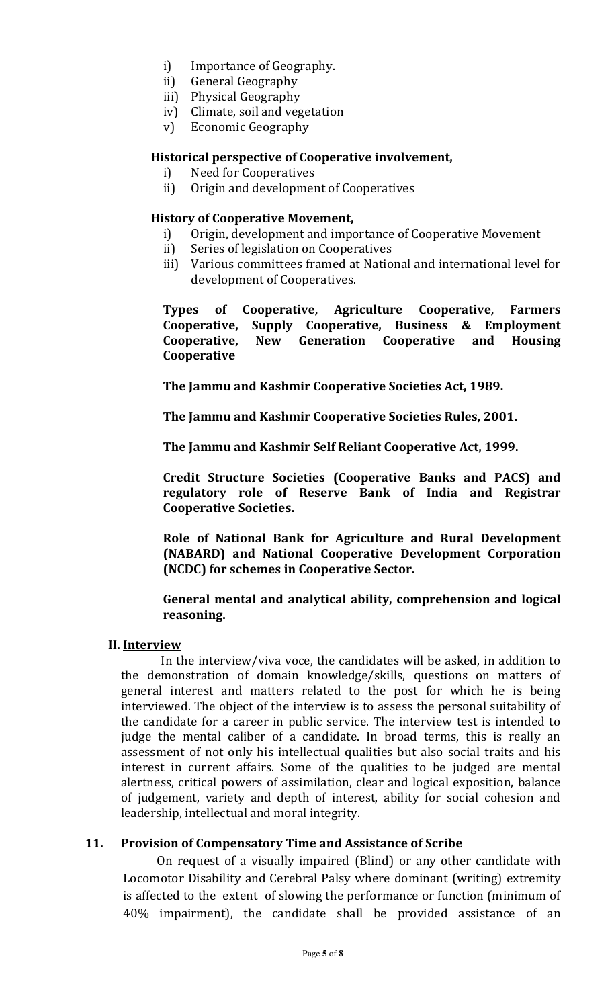- i) Importance of Geography.
- ii) General Geography
- iii) Physical Geography
- iv) Climate, soil and vegetation
- v) Economic Geography

#### **Historical perspective of Cooperative involvement,**

- i) Need for Cooperatives
- ii) Origin and development of Cooperatives

#### **History of Cooperative Movement,**

- i) Origin, development and importance of Cooperative Movement
- ii) Series of legislation on Cooperatives
- iii) Various committees framed at National and international level for development of Cooperatives.

**Types of Cooperative, Agriculture Cooperative, Farmers Cooperative, Supply Cooperative, Business & Employment Cooperative, New Generation Cooperative and Housing Cooperative** 

**The Jammu and Kashmir Cooperative Societies Act, 1989.** 

**The Jammu and Kashmir Cooperative Societies Rules, 2001.** 

**The Jammu and Kashmir Self Reliant Cooperative Act, 1999.** 

**Credit Structure Societies (Cooperative Banks and PACS) and regulatory role of Reserve Bank of India and Registrar Cooperative Societies.** 

**Role of National Bank for Agriculture and Rural Development (NABARD) and National Cooperative Development Corporation (NCDC) for schemes in Cooperative Sector.** 

#### **General mental and analytical ability, comprehension and logical reasoning.**

#### **II. Interview**

 In the interview/viva voce, the candidates will be asked, in addition to the demonstration of domain knowledge/skills, questions on matters of general interest and matters related to the post for which he is being interviewed. The object of the interview is to assess the personal suitability of the candidate for a career in public service. The interview test is intended to judge the mental caliber of a candidate. In broad terms, this is really an assessment of not only his intellectual qualities but also social traits and his interest in current affairs. Some of the qualities to be judged are mental alertness, critical powers of assimilation, clear and logical exposition, balance of judgement, variety and depth of interest, ability for social cohesion and leadership, intellectual and moral integrity.

### **11. Provision of Compensatory Time and Assistance of Scribe**

On request of a visually impaired (Blind) or any other candidate with Locomotor Disability and Cerebral Palsy where dominant (writing) extremity is affected to the extent of slowing the performance or function (minimum of 40% impairment), the candidate shall be provided assistance of an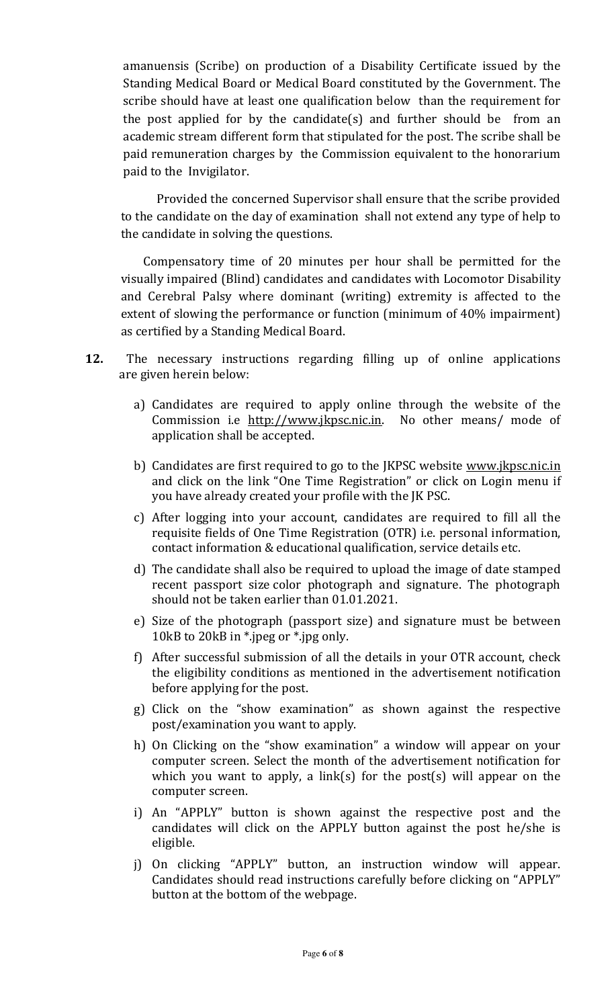amanuensis (Scribe) on production of a Disability Certificate issued by the Standing Medical Board or Medical Board constituted by the Government. The scribe should have at least one qualification below than the requirement for the post applied for by the candidate(s) and further should be from an academic stream different form that stipulated for the post. The scribe shall be paid remuneration charges by the Commission equivalent to the honorarium paid to the Invigilator.

 Provided the concerned Supervisor shall ensure that the scribe provided to the candidate on the day of examination shall not extend any type of help to the candidate in solving the questions.

 Compensatory time of 20 minutes per hour shall be permitted for the visually impaired (Blind) candidates and candidates with Locomotor Disability and Cerebral Palsy where dominant (writing) extremity is affected to the extent of slowing the performance or function (minimum of 40% impairment) as certified by a Standing Medical Board.

- **12.** The necessary instructions regarding filling up of online applications are given herein below:
	- a) Candidates are required to apply online through the website of the Commission i.e http://www.jkpsc.nic.in. No other means/ mode of application shall be accepted.
	- b) Candidates are first required to go to the JKPSC website www.jkpsc.nic.in and click on the link "One Time Registration" or click on Login menu if you have already created your profile with the JK PSC.
	- c) After logging into your account, candidates are required to fill all the requisite fields of One Time Registration (OTR) i.e. personal information, contact information & educational qualification, service details etc.
	- d) The candidate shall also be required to upload the image of date stamped recent passport size color photograph and signature. The photograph should not be taken earlier than 01.01.2021.
	- e) Size of the photograph (passport size) and signature must be between 10kB to 20kB in \*.jpeg or \*.jpg only.
	- f) After successful submission of all the details in your OTR account, check the eligibility conditions as mentioned in the advertisement notification before applying for the post.
	- g) Click on the "show examination" as shown against the respective post/examination you want to apply.
	- h) On Clicking on the "show examination" a window will appear on your computer screen. Select the month of the advertisement notification for which you want to apply, a link(s) for the post(s) will appear on the computer screen.
	- i) An "APPLY" button is shown against the respective post and the candidates will click on the APPLY button against the post he/she is eligible.
	- j) On clicking "APPLY" button, an instruction window will appear. Candidates should read instructions carefully before clicking on "APPLY" button at the bottom of the webpage.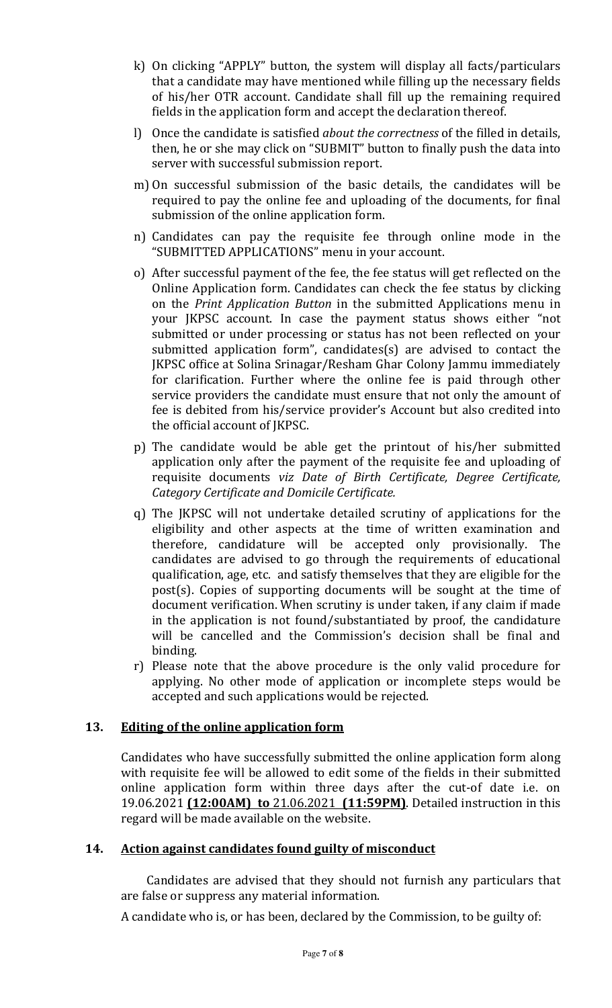- k) On clicking "APPLY" button, the system will display all facts/particulars that a candidate may have mentioned while filling up the necessary fields of his/her OTR account. Candidate shall fill up the remaining required fields in the application form and accept the declaration thereof.
- l) Once the candidate is satisfied *about the correctness* of the filled in details, then, he or she may click on "SUBMIT" button to finally push the data into server with successful submission report.
- m) On successful submission of the basic details, the candidates will be required to pay the online fee and uploading of the documents, for final submission of the online application form.
- n) Candidates can pay the requisite fee through online mode in the "SUBMITTED APPLICATIONS" menu in your account.
- o) After successful payment of the fee, the fee status will get reflected on the Online Application form. Candidates can check the fee status by clicking on the *Print Application Button* in the submitted Applications menu in your JKPSC account. In case the payment status shows either "not submitted or under processing or status has not been reflected on your submitted application form", candidates(s) are advised to contact the JKPSC office at Solina Srinagar/Resham Ghar Colony Jammu immediately for clarification. Further where the online fee is paid through other service providers the candidate must ensure that not only the amount of fee is debited from his/service provider's Account but also credited into the official account of JKPSC.
- p) The candidate would be able get the printout of his/her submitted application only after the payment of the requisite fee and uploading of requisite documents *viz Date of Birth Certificate, Degree Certificate, Category Certificate and Domicile Certificate.*
- q) The JKPSC will not undertake detailed scrutiny of applications for the eligibility and other aspects at the time of written examination and therefore, candidature will be accepted only provisionally. The candidates are advised to go through the requirements of educational qualification, age, etc. and satisfy themselves that they are eligible for the post(s). Copies of supporting documents will be sought at the time of document verification. When scrutiny is under taken, if any claim if made in the application is not found/substantiated by proof, the candidature will be cancelled and the Commission's decision shall be final and binding.
- r) Please note that the above procedure is the only valid procedure for applying. No other mode of application or incomplete steps would be accepted and such applications would be rejected.

### **13. Editing of the online application form**

Candidates who have successfully submitted the online application form along with requisite fee will be allowed to edit some of the fields in their submitted online application form within three days after the cut-of date i.e. on 19.06.2021 **(12:00AM) to** 21.06.2021 **(11:59PM)**. Detailed instruction in this regard will be made available on the website.

### **14. Action against candidates found guilty of misconduct**

 Candidates are advised that they should not furnish any particulars that are false or suppress any material information.

A candidate who is, or has been, declared by the Commission, to be guilty of: